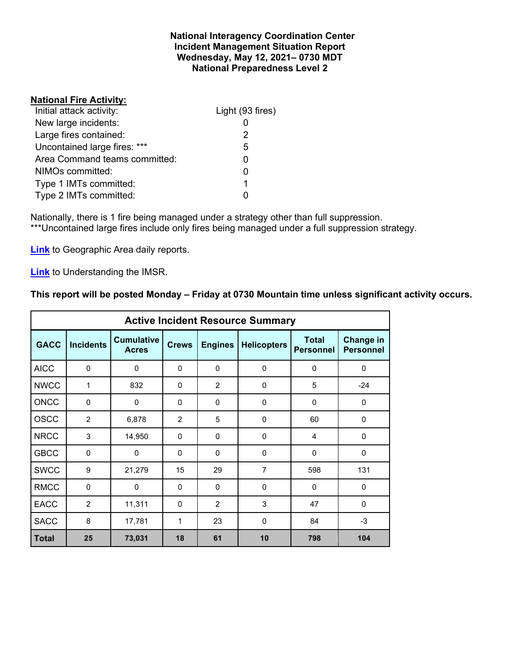### **National Interagency Coordination Center Incident Management Situation Report Wednesday, May 12, 2021– 0730 MDT National Preparedness Level 2**

## **National Fire Activity:**

| Initial attack activity:      | Light (93 fires) |
|-------------------------------|------------------|
| New large incidents:          |                  |
| Large fires contained:        | 2                |
| Uncontained large fires: ***  | 5                |
| Area Command teams committed: | 0                |
| NIMOs committed:              |                  |
| Type 1 IMTs committed:        | 1                |
| Type 2 IMTs committed:        |                  |

Nationally, there is 1 fire being managed under a strategy other than full suppression. \*\*\*Uncontained large fires include only fires being managed under a full suppression strategy.

**[Link](http://www.nifc.gov/nicc/predictive/statelinks.htm)** to Geographic Area daily reports.

**[Link](https://www.predictiveservices.nifc.gov/intelligence/Understanding%20the%20IMSR%202019.pdf)** to Understanding the IMSR.

# **This report will be posted Monday – Friday at 0730 Mountain time unless significant activity occurs.**

| <b>Active Incident Resource Summary</b> |                  |                                   |              |                |                    |                                  |                               |  |  |
|-----------------------------------------|------------------|-----------------------------------|--------------|----------------|--------------------|----------------------------------|-------------------------------|--|--|
| <b>GACC</b>                             | <b>Incidents</b> | <b>Cumulative</b><br><b>Acres</b> | <b>Crews</b> | <b>Engines</b> | <b>Helicopters</b> | <b>Total</b><br><b>Personnel</b> | Change in<br><b>Personnel</b> |  |  |
| <b>AICC</b>                             | $\mathbf 0$      | 0                                 | 0            | $\mathbf 0$    | 0                  | 0                                | $\mathbf 0$                   |  |  |
| <b>NWCC</b>                             | 1                | 832                               | $\Omega$     | 2              | 0                  | 5                                | $-24$                         |  |  |
| <b>ONCC</b>                             | $\Omega$         | $\Omega$                          | $\Omega$     | $\Omega$       | $\Omega$           | $\Omega$                         | $\Omega$                      |  |  |
| <b>OSCC</b>                             | 2                | 6,878                             | 2            | 5              | $\Omega$           | 60                               | $\mathbf 0$                   |  |  |
| <b>NRCC</b>                             | 3                | 14,950                            | $\Omega$     | $\Omega$       | $\Omega$           | 4                                | $\Omega$                      |  |  |
| <b>GBCC</b>                             | $\mathbf 0$      | 0                                 | 0            | $\Omega$       | $\Omega$           | 0                                | $\mathbf 0$                   |  |  |
| <b>SWCC</b>                             | 9                | 21,279                            | 15           | 29             | 7                  | 598                              | 131                           |  |  |
| <b>RMCC</b>                             | $\Omega$         | $\Omega$                          | $\Omega$     | $\Omega$       | $\Omega$           | $\Omega$                         | $\Omega$                      |  |  |
| <b>EACC</b>                             | $\overline{2}$   | 11,311                            | 0            | 2              | 3                  | 47                               | $\mathbf 0$                   |  |  |
| <b>SACC</b>                             | 8                | 17,781                            | 1            | 23             | $\Omega$           | 84                               | $-3$                          |  |  |
| <b>Total</b>                            | 25               | 73,031                            | 18           | 61             | 10                 | 798                              | 104                           |  |  |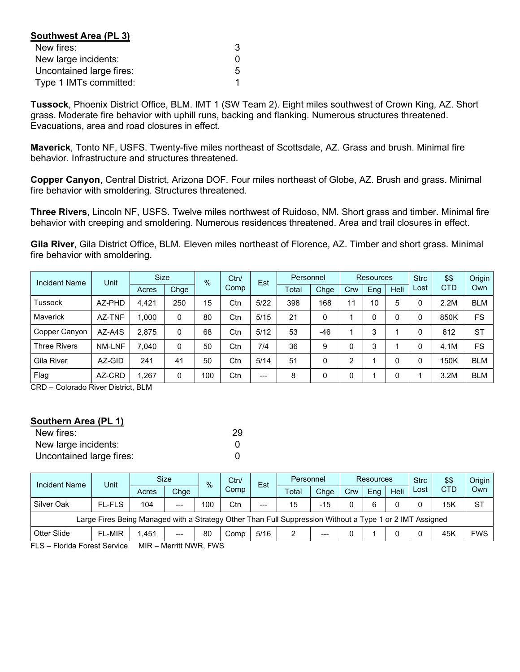| Southwest Area (PL 3)    |   |
|--------------------------|---|
| New fires:               | 3 |
| New large incidents:     | O |
| Uncontained large fires: | 5 |
| Type 1 IMTs committed:   |   |

**Tussock**, Phoenix District Office, BLM. IMT 1 (SW Team 2). Eight miles southwest of Crown King, AZ. Short grass. Moderate fire behavior with uphill runs, backing and flanking. Numerous structures threatened. Evacuations, area and road closures in effect.

**Maverick**, Tonto NF, USFS. Twenty-five miles northeast of Scottsdale, AZ. Grass and brush. Minimal fire behavior. Infrastructure and structures threatened.

**Copper Canyon**, Central District, Arizona DOF. Four miles northeast of Globe, AZ. Brush and grass. Minimal fire behavior with smoldering. Structures threatened.

**Three Rivers**, Lincoln NF, USFS. Twelve miles northwest of Ruidoso, NM. Short grass and timber. Minimal fire behavior with creeping and smoldering. Numerous residences threatened. Area and trail closures in effect.

**Gila River**, Gila District Office, BLM. Eleven miles northeast of Florence, AZ. Timber and short grass. Minimal fire behavior with smoldering.

| <b>Incident Name</b> | Unit   | <b>Size</b> | $\%$ |     | Ctn/ | Est   | Personnel |       | Resources |             |      | <b>Strc</b> | \$\$       | Origin     |
|----------------------|--------|-------------|------|-----|------|-------|-----------|-------|-----------|-------------|------|-------------|------------|------------|
|                      |        | Acres       | Chge |     | Comp |       | Total     | Chge  | Crw       | Eng         | Heli | Lost        | <b>CTD</b> | Own        |
| Tussock              | AZ-PHD | 4.421       | 250  | 15  | Ctn  | 5/22  | 398       | 168   | 11        | 10          | 5    |             | 2.2M       | <b>BLM</b> |
| <b>Maverick</b>      | AZ-TNF | 1,000       | 0    | 80  | Ctn  | 5/15  | 21        | 0     |           | $\mathbf 0$ | 0    |             | 850K       | FS         |
| Copper Canyon        | AZ-A4S | 2.875       | 0    | 68  | Ctn  | 5/12  | 53        | $-46$ |           | 3           |      |             | 612        | <b>ST</b>  |
| <b>Three Rivers</b>  | NM-LNF | 7.040       | 0    | 50  | Ctn  | 7/4   | 36        | 9     |           | 3           |      | 0           | 4.1M       | FS         |
| Gila River           | AZ-GID | 241         | 41   | 50  | Ctn  | 5/14  | 51        | 0     | ∩         |             | 0    |             | 150K       | <b>BLM</b> |
| Flag                 | AZ-CRD | ,267        | 0    | 100 | Ctn  | $---$ | 8         | 0     |           |             | 0    |             | 3.2M       | <b>BLM</b> |

CRD – Colorado River District, BLM

#### **Southern Area (PL 1)**

| New fires:               | 29 |
|--------------------------|----|
| New large incidents:     |    |
| Uncontained large fires: |    |

| Incident Name                                                                                                                                                                                                                                                                                                                                                    | Unit          |       | Size<br>$\frac{0}{0}$ |     | Ctn/<br>Est |       | Personnel |                        | <b>Resources</b> |     |      | <b>Strc</b> | \$\$       | Origin     |
|------------------------------------------------------------------------------------------------------------------------------------------------------------------------------------------------------------------------------------------------------------------------------------------------------------------------------------------------------------------|---------------|-------|-----------------------|-----|-------------|-------|-----------|------------------------|------------------|-----|------|-------------|------------|------------|
|                                                                                                                                                                                                                                                                                                                                                                  |               | Acres | Chge                  |     | Comp        |       | Total     | Chge                   | Crw              | Ena | Heli | Lost        | <b>CTD</b> | Own        |
| Silver Oak                                                                                                                                                                                                                                                                                                                                                       | <b>FL-FLS</b> | 104   | $---$                 | 100 | Ctn         | $---$ | 15        | -15                    |                  | 6   |      |             | 15K        | <b>ST</b>  |
| Large Fires Being Managed with a Strategy Other Than Full Suppression Without a Type 1 or 2 IMT Assigned                                                                                                                                                                                                                                                         |               |       |                       |     |             |       |           |                        |                  |     |      |             |            |            |
| Otter Slide                                                                                                                                                                                                                                                                                                                                                      | <b>FL-MIR</b> | 1.451 | $---$                 | 80  | Comp        | 5/16  |           | $\qquad \qquad \cdots$ |                  |     |      |             | 45K        | <b>FWS</b> |
| $\Gamma$ , $\Omega$ , $\Gamma$ and $\Gamma$ and $\Gamma$ and $\Gamma$ and $\Gamma$ and $\Gamma$ and $\Gamma$ and $\Gamma$ and $\Gamma$ and $\Gamma$ and $\Gamma$ and $\Gamma$ and $\Gamma$ and $\Gamma$ and $\Gamma$ and $\Gamma$ and $\Gamma$ and $\Gamma$ and $\Gamma$ and $\Gamma$ and $\Gamma$ and $\Gamma$ and $\Gamma$ and<br>$MID = M =  : H NID = T M Q$ |               |       |                       |     |             |       |           |                        |                  |     |      |             |            |            |

FLS – Florida Forest Service MIR – Merritt NWR, FWS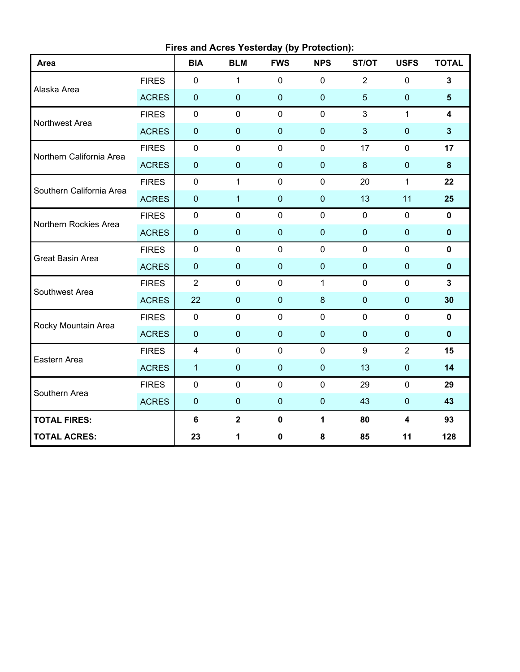| Fires and Acres Yesterday (by Protection): |              |                         |              |             |              |                |                |                         |  |
|--------------------------------------------|--------------|-------------------------|--------------|-------------|--------------|----------------|----------------|-------------------------|--|
| Area                                       |              | <b>BIA</b>              | <b>BLM</b>   | <b>FWS</b>  | <b>NPS</b>   | ST/OT          | <b>USFS</b>    | <b>TOTAL</b>            |  |
| <b>FIRES</b>                               |              | $\mathbf 0$             | 1            | $\mathbf 0$ | $\mathbf 0$  | $\overline{2}$ | 0              | $\mathbf{3}$            |  |
| Alaska Area                                | <b>ACRES</b> | $\pmb{0}$               | $\pmb{0}$    | $\pmb{0}$   | $\mathbf 0$  | 5              | $\pmb{0}$      | $5\phantom{1}$          |  |
| Northwest Area                             | <b>FIRES</b> | $\mathbf 0$             | $\mathbf 0$  | $\mathbf 0$ | $\mathbf 0$  | 3              | $\mathbf{1}$   | $\overline{\mathbf{4}}$ |  |
|                                            | <b>ACRES</b> | $\pmb{0}$               | $\mathbf 0$  | $\mathbf 0$ | $\mathbf 0$  | 3              | $\mathbf 0$    | $\overline{3}$          |  |
| Northern California Area                   | <b>FIRES</b> | $\mathbf 0$             | $\mathbf 0$  | $\mathbf 0$ | $\mathbf 0$  | 17             | $\mathbf 0$    | 17                      |  |
|                                            | <b>ACRES</b> | $\pmb{0}$               | $\mathbf 0$  | $\mathbf 0$ | $\mathbf 0$  | 8              | $\pmb{0}$      | $\bf{8}$                |  |
| Southern California Area                   | <b>FIRES</b> | $\pmb{0}$               | $\mathbf{1}$ | $\mathbf 0$ | $\mathbf 0$  | 20             | $\mathbf{1}$   | 22                      |  |
|                                            | <b>ACRES</b> | $\pmb{0}$               | $\mathbf{1}$ | $\pmb{0}$   | $\mathbf 0$  | 13             | 11             | 25                      |  |
| Northern Rockies Area                      | <b>FIRES</b> | $\pmb{0}$               | $\mathbf 0$  | $\pmb{0}$   | $\mathbf 0$  | $\mathbf 0$    | 0              | $\mathbf 0$             |  |
|                                            | <b>ACRES</b> | $\pmb{0}$               | $\mathbf 0$  | $\mathbf 0$ | $\mathbf 0$  | $\mathbf 0$    | $\pmb{0}$      | $\mathbf 0$             |  |
| Great Basin Area                           | <b>FIRES</b> | $\mathbf 0$             | $\mathbf 0$  | $\mathbf 0$ | $\mathbf 0$  | $\overline{0}$ | 0              | $\mathbf 0$             |  |
|                                            | <b>ACRES</b> | $\pmb{0}$               | $\mathbf 0$  | $\pmb{0}$   | $\mathbf 0$  | $\mathbf{0}$   | $\pmb{0}$      | $\mathbf 0$             |  |
| Southwest Area                             | <b>FIRES</b> | $\overline{2}$          | $\mathbf 0$  | $\mathbf 0$ | $\mathbf{1}$ | $\mathbf 0$    | $\mathbf 0$    | $\mathbf{3}$            |  |
|                                            | <b>ACRES</b> | 22                      | $\mathbf 0$  | $\pmb{0}$   | $\bf 8$      | $\mathbf{0}$   | $\pmb{0}$      | 30                      |  |
| Rocky Mountain Area                        | <b>FIRES</b> | $\pmb{0}$               | $\mathbf 0$  | $\mathbf 0$ | $\mathbf 0$  | $\mathbf 0$    | 0              | $\mathbf 0$             |  |
|                                            | <b>ACRES</b> | $\pmb{0}$               | $\mathbf 0$  | $\mathbf 0$ | $\mathbf 0$  | $\mathbf 0$    | $\mathbf 0$    | $\mathbf 0$             |  |
| Eastern Area                               | <b>FIRES</b> | $\overline{\mathbf{4}}$ | $\mathbf 0$  | $\mathbf 0$ | $\mathbf 0$  | 9              | $\overline{2}$ | 15                      |  |
|                                            | <b>ACRES</b> | $\mathbf{1}$            | $\mathbf 0$  | $\mathbf 0$ | $\mathbf 0$  | 13             | $\pmb{0}$      | 14                      |  |
| Southern Area                              | <b>FIRES</b> | $\pmb{0}$               | $\mathbf 0$  | $\mathbf 0$ | $\mathbf 0$  | 29             | 0              | 29                      |  |
|                                            | <b>ACRES</b> | $\pmb{0}$               | $\mathbf 0$  | $\pmb{0}$   | $\mathbf 0$  | 43             | $\pmb{0}$      | 43                      |  |
| <b>TOTAL FIRES:</b>                        |              | $\bf 6$                 | $\mathbf{2}$ | $\mathbf 0$ | 1            | 80             | 4              | 93                      |  |
| <b>TOTAL ACRES:</b>                        |              | 23                      | 1            | $\pmb{0}$   | 8            | 85             | 11             | 128                     |  |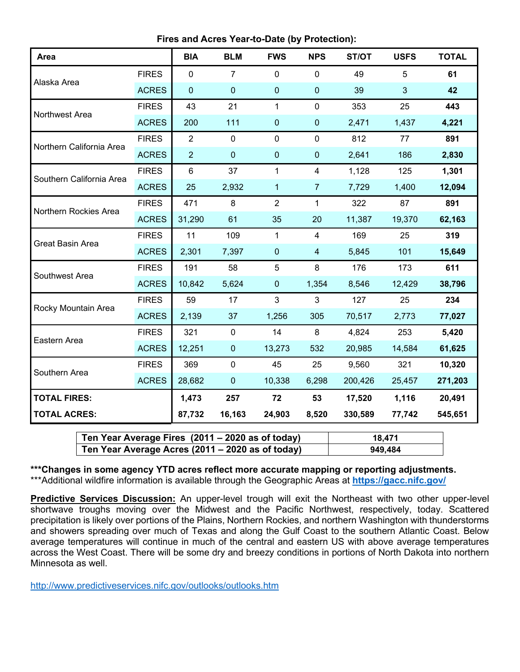**Fires and Acres Year-to-Date (by Protection):**

| Area                     |              | <b>BIA</b>     | <b>BLM</b>     | <b>FWS</b>     | <b>NPS</b>     | ST/OT   | <b>USFS</b>    | <b>TOTAL</b> |
|--------------------------|--------------|----------------|----------------|----------------|----------------|---------|----------------|--------------|
| Alaska Area              | <b>FIRES</b> | $\mathbf 0$    | $\overline{7}$ | $\mathbf 0$    | $\mathbf 0$    | 49      | 5              | 61           |
|                          | <b>ACRES</b> | $\mathbf 0$    | $\mathbf 0$    | $\mathbf 0$    | $\mathbf 0$    | 39      | $\overline{3}$ | 42           |
| Northwest Area           | <b>FIRES</b> | 43             | 21             | $\mathbf{1}$   | $\mathbf 0$    | 353     | 25             | 443          |
|                          | <b>ACRES</b> | 200            | 111            | $\mathbf 0$    | $\pmb{0}$      | 2,471   | 1,437          | 4,221        |
| Northern California Area | <b>FIRES</b> | $\overline{2}$ | $\mathbf 0$    | $\mathbf 0$    | $\mathbf 0$    | 812     | 77             | 891          |
|                          | <b>ACRES</b> | $\overline{2}$ | $\mathbf 0$    | $\mathbf 0$    | $\pmb{0}$      | 2,641   | 186            | 2,830        |
| Southern California Area | <b>FIRES</b> | $\,6$          | 37             | $\mathbf{1}$   | 4              | 1,128   | 125            | 1,301        |
|                          | <b>ACRES</b> | 25             | 2,932          | 1              | $\overline{7}$ | 7,729   | 1,400          | 12,094       |
| Northern Rockies Area    | <b>FIRES</b> | 471            | 8              | $\overline{2}$ | $\mathbf{1}$   | 322     | 87             | 891          |
|                          | <b>ACRES</b> | 31,290         | 61             | 35             | 20             | 11,387  | 19,370         | 62,163       |
| <b>Great Basin Area</b>  | <b>FIRES</b> | 11             | 109            | $\mathbf{1}$   | $\overline{4}$ | 169     | 25             | 319          |
|                          | <b>ACRES</b> | 2,301          | 7,397          | $\mathbf 0$    | $\overline{4}$ | 5,845   | 101            | 15,649       |
| Southwest Area           | <b>FIRES</b> | 191            | 58             | 5              | 8              | 176     | 173            | 611          |
|                          | <b>ACRES</b> | 10,842         | 5,624          | $\pmb{0}$      | 1,354          | 8,546   | 12,429         | 38,796       |
| Rocky Mountain Area      | <b>FIRES</b> | 59             | 17             | 3              | 3              | 127     | 25             | 234          |
|                          | <b>ACRES</b> | 2,139          | 37             | 1,256          | 305            | 70,517  | 2,773          | 77,027       |
| Eastern Area             | <b>FIRES</b> | 321            | $\mathbf 0$    | 14             | 8              | 4,824   | 253            | 5,420        |
|                          | <b>ACRES</b> | 12,251         | $\overline{0}$ | 13,273         | 532            | 20,985  | 14,584         | 61,625       |
| Southern Area            | <b>FIRES</b> | 369            | $\mathbf 0$    | 45             | 25             | 9,560   | 321            | 10,320       |
|                          | <b>ACRES</b> | 28,682         | $\pmb{0}$      | 10,338         | 6,298          | 200,426 | 25,457         | 271,203      |
| <b>TOTAL FIRES:</b>      |              | 1,473          | 257            | 72             | 53             | 17,520  | 1,116          | 20,491       |
| <b>TOTAL ACRES:</b>      |              | 87,732         | 16,163         | 24,903         | 8,520          | 330,589 | 77,742         | 545,651      |

| Ten Year Average Fires (2011 – 2020 as of today) | 18.471  |
|--------------------------------------------------|---------|
| Ten Year Average Acres (2011 – 2020 as of today) | 949.484 |

**\*\*\*Changes in some agency YTD acres reflect more accurate mapping or reporting adjustments.** \*\*\*Additional wildfire information is available through the Geographic Areas at **<https://gacc.nifc.gov/>**

**Predictive Services Discussion:** An upper-level trough will exit the Northeast with two other upper-level shortwave troughs moving over the Midwest and the Pacific Northwest, respectively, today. Scattered precipitation is likely over portions of the Plains, Northern Rockies, and northern Washington with thunderstorms and showers spreading over much of Texas and along the Gulf Coast to the southern Atlantic Coast. Below average temperatures will continue in much of the central and eastern US with above average temperatures across the West Coast. There will be some dry and breezy conditions in portions of North Dakota into northern Minnesota as well.

<http://www.predictiveservices.nifc.gov/outlooks/outlooks.htm>